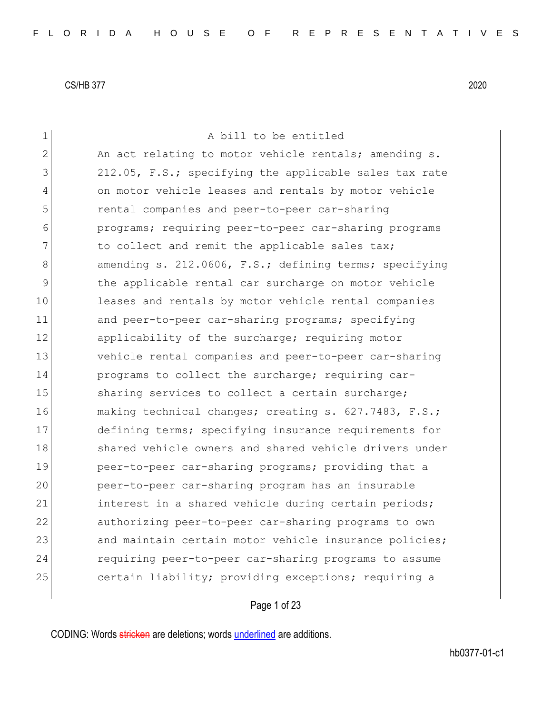1 a bill to be entitled 2 An act relating to motor vehicle rentals; amending s. 3 212.05, F.S.; specifying the applicable sales tax rate 4 on motor vehicle leases and rentals by motor vehicle 5 rental companies and peer-to-peer car-sharing 6 programs; requiring peer-to-peer car-sharing programs 7 11321 to collect and remit the applicable sales tax; 8 amending s. 212.0606, F.S.; defining terms; specifying 9 block the applicable rental car surcharge on motor vehicle 10 leases and rentals by motor vehicle rental companies 11 and peer-to-peer car-sharing programs; specifying 12 applicability of the surcharge; requiring motor 13 vehicle rental companies and peer-to-peer car-sharing 14 **programs** to collect the surcharge; requiring car-15 Sharing services to collect a certain surcharge; 16 making technical changes; creating s. 627.7483, F.S.; 17 defining terms; specifying insurance requirements for 18 Shared vehicle owners and shared vehicle drivers under 19 peer-to-peer car-sharing programs; providing that a 20 peer-to-peer car-sharing program has an insurable 21 interest in a shared vehicle during certain periods; 22 authorizing peer-to-peer car-sharing programs to own 23 and maintain certain motor vehicle insurance policies; 24 requiring peer-to-peer car-sharing programs to assume 25 certain liability; providing exceptions; requiring a

Page 1 of 23

CODING: Words stricken are deletions; words underlined are additions.

hb0377-01-c1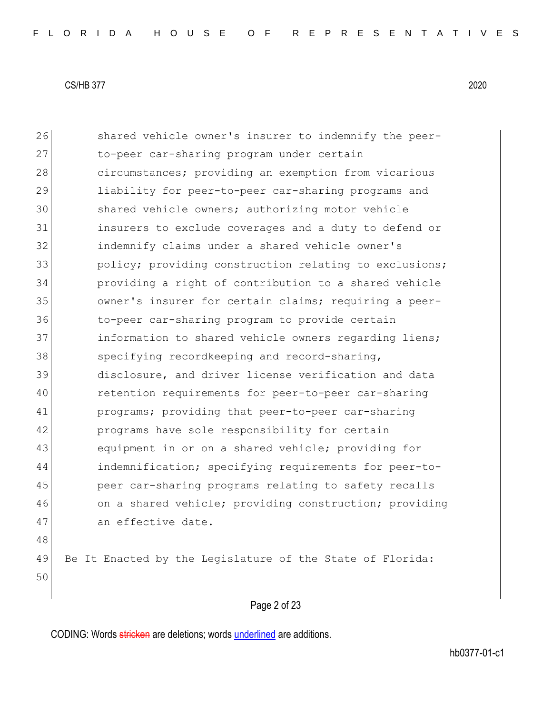26 Shared vehicle owner's insurer to indemnify the peer-27 to-peer car-sharing program under certain 28 circumstances; providing an exemption from vicarious 29 liability for peer-to-peer car-sharing programs and 30 shared vehicle owners; authorizing motor vehicle 31 insurers to exclude coverages and a duty to defend or 32 indemnify claims under a shared vehicle owner's 33 policy; providing construction relating to exclusions; 34 providing a right of contribution to a shared vehicle 35 owner's insurer for certain claims; requiring a peer-36 to-peer car-sharing program to provide certain 37 information to shared vehicle owners regarding liens; 38 specifying recordkeeping and record-sharing, 39 disclosure, and driver license verification and data 40 retention requirements for peer-to-peer car-sharing 41 programs; providing that peer-to-peer car-sharing 42 programs have sole responsibility for certain 43 equipment in or on a shared vehicle; providing for 44 indemnification; specifying requirements for peer-to-45 peer car-sharing programs relating to safety recalls 46 on a shared vehicle; providing construction; providing 47 an effective date. 48 49 Be It Enacted by the Legislature of the State of Florida: 50

Page 2 of 23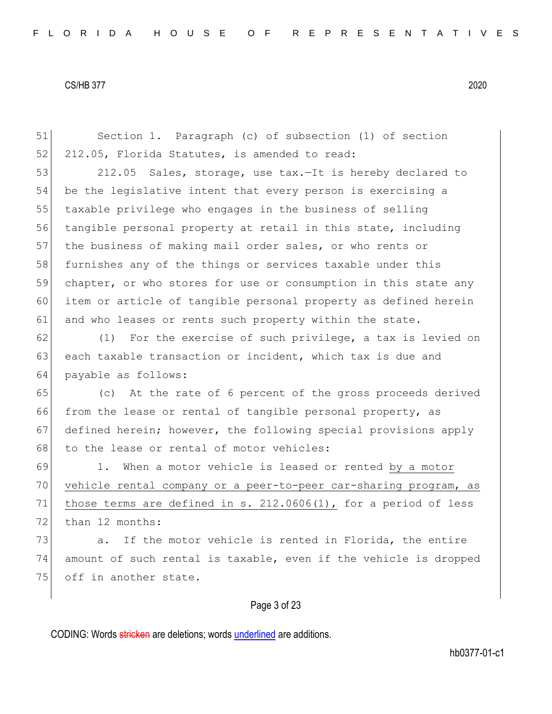51 Section 1. Paragraph (c) of subsection (1) of section 52 212.05, Florida Statutes, is amended to read:

53 212.05 Sales, storage, use tax.—It is hereby declared to 54 be the legislative intent that every person is exercising a 55 taxable privilege who engages in the business of selling 56 tangible personal property at retail in this state, including 57 the business of making mail order sales, or who rents or 58 furnishes any of the things or services taxable under this 59 chapter, or who stores for use or consumption in this state any 60 item or article of tangible personal property as defined herein 61 and who leases or rents such property within the state.

62 (1) For the exercise of such privilege, a tax is levied on 63 each taxable transaction or incident, which tax is due and 64 payable as follows:

65 (c) At the rate of 6 percent of the gross proceeds derived 66 from the lease or rental of tangible personal property, as 67 defined herein; however, the following special provisions apply 68 to the lease or rental of motor vehicles:

69 1. When a motor vehicle is leased or rented by a motor 70 vehicle rental company or a peer-to-peer car-sharing program, as 71 those terms are defined in s. 212.0606(1), for a period of less 72 than 12 months:

 $73$  a. If the motor vehicle is rented in Florida, the entire 74 amount of such rental is taxable, even if the vehicle is dropped 75 off in another state.

### Page 3 of 23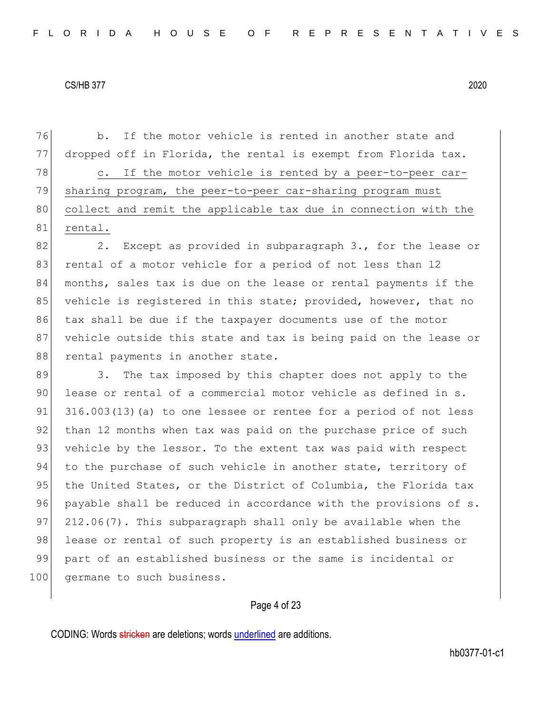76 b. If the motor vehicle is rented in another state and 77 dropped off in Florida, the rental is exempt from Florida tax. 78 c. If the motor vehicle is rented by a peer-to-peer car-79 sharing program, the peer-to-peer car-sharing program must 80 collect and remit the applicable tax due in connection with the 81 rental.

82 2. Except as provided in subparagraph 3., for the lease or 83 rental of a motor vehicle for a period of not less than 12 84 months, sales tax is due on the lease or rental payments if the 85 vehicle is registered in this state; provided, however, that no 86 tax shall be due if the taxpayer documents use of the motor 87 vehicle outside this state and tax is being paid on the lease or 88 rental payments in another state.

89 3. The tax imposed by this chapter does not apply to the 90 lease or rental of a commercial motor vehicle as defined in s.  $91$  316.003(13)(a) to one lessee or rentee for a period of not less 92 than 12 months when tax was paid on the purchase price of such 93 vehicle by the lessor. To the extent tax was paid with respect 94 to the purchase of such vehicle in another state, territory of 95 the United States, or the District of Columbia, the Florida tax 96 payable shall be reduced in accordance with the provisions of s. 97 212.06(7). This subparagraph shall only be available when the 98 lease or rental of such property is an established business or 99 part of an established business or the same is incidental or 100 germane to such business.

### Page 4 of 23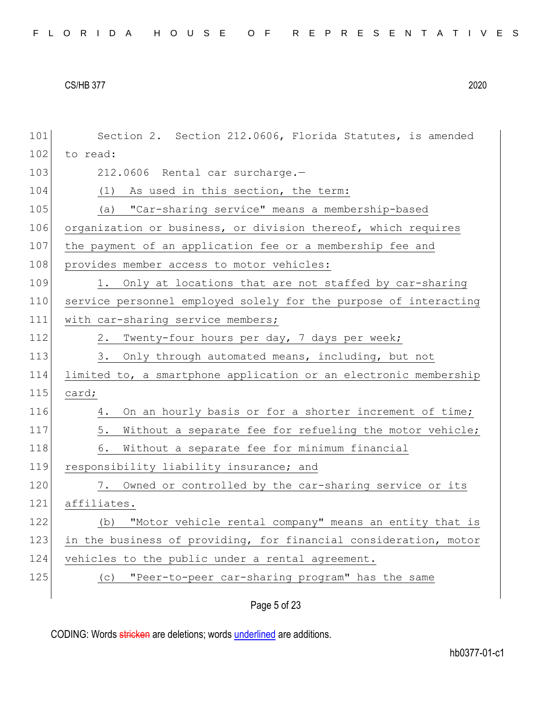| 101 | Section 2. Section 212.0606, Florida Statutes, is amended        |
|-----|------------------------------------------------------------------|
| 102 | to read:                                                         |
| 103 | 212.0606 Rental car surcharge.-                                  |
| 104 | (1) As used in this section, the term:                           |
| 105 | "Car-sharing service" means a membership-based<br>(a)            |
| 106 | organization or business, or division thereof, which requires    |
| 107 | the payment of an application fee or a membership fee and        |
| 108 | provides member access to motor vehicles:                        |
| 109 | 1. Only at locations that are not staffed by car-sharing         |
| 110 | service personnel employed solely for the purpose of interacting |
| 111 | with car-sharing service members;                                |
| 112 | Twenty-four hours per day, 7 days per week;<br>2.                |
| 113 | Only through automated means, including, but not<br>3.           |
| 114 | limited to, a smartphone application or an electronic membership |
| 115 | card;                                                            |
| 116 | On an hourly basis or for a shorter increment of time;<br>4.     |
| 117 | 5.<br>Without a separate fee for refueling the motor vehicle;    |
| 118 | 6.<br>Without a separate fee for minimum financial               |
| 119 | responsibility liability insurance; and                          |
| 120 | Owned or controlled by the car-sharing service or its<br>7.      |
| 121 | affiliates.                                                      |
| 122 | "Motor vehicle rental company" means an entity that is<br>(b)    |
| 123 | in the business of providing, for financial consideration, motor |
| 124 | vehicles to the public under a rental agreement.                 |
| 125 | "Peer-to-peer car-sharing program" has the same<br>(C)           |
|     |                                                                  |

Page 5 of 23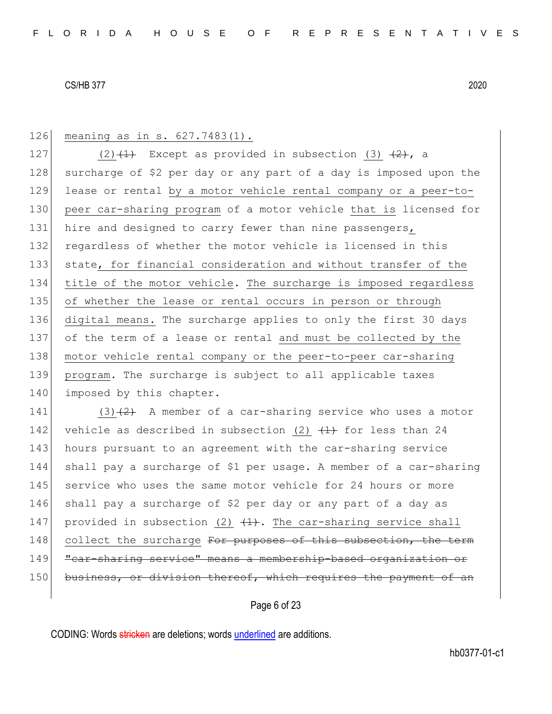126 meaning as in s. 627.7483(1).

127 (2)  $(1)$  Except as provided in subsection (3)  $(2)$ , a 128 surcharge of \$2 per day or any part of a day is imposed upon the 129 lease or rental by a motor vehicle rental company or a peer-to-130 peer car-sharing program of a motor vehicle that is licensed for 131 hire and designed to carry fewer than nine passengers, 132 regardless of whether the motor vehicle is licensed in this 133 state, for financial consideration and without transfer of the 134 title of the motor vehicle. The surcharge is imposed regardless 135 of whether the lease or rental occurs in person or through 136 digital means. The surcharge applies to only the first 30 days 137 of the term of a lease or rental and must be collected by the 138 motor vehicle rental company or the peer-to-peer car-sharing 139 program. The surcharge is subject to all applicable taxes 140 imposed by this chapter.

141 (3) $(2)$  A member of a car-sharing service who uses a motor 142 vehicle as described in subsection (2)  $(1)$  for less than 24 143 hours pursuant to an agreement with the car-sharing service 144 shall pay a surcharge of \$1 per usage. A member of a car-sharing 145 service who uses the same motor vehicle for 24 hours or more 146 shall pay a surcharge of \$2 per day or any part of a day as 147 provided in subsection (2)  $(1)$ . The car-sharing service shall 148 collect the surcharge For purposes of this subsection, the term 149 "car-sharing service" means a membership-based organization or 150 business, or division thereof, which requires the payment of an

Page 6 of 23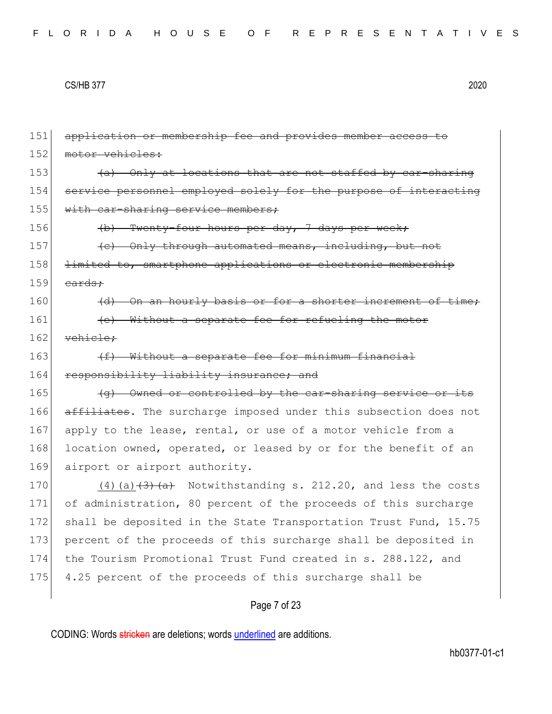151 application or membership fee and provides member access to 152 motor vehicles: 153  $\left( a \right)$  Only at locations that are not staffed by car-sharing 154 service personnel employed solely for the purpose of interacting 155 with car-sharing service members; 156 (b) Twenty-four hours per day, 7 days per week;  $|157|$  (c) Only through automated means, including, but not 158 <del>limited to, smartphone applications or electronic membership</del>  $159$  cards;  $160$  (d) On an hourly basis or for a shorter increment of time; 161 **(e)** Without a separate fee for refueling the motor 162 vehicle; 163  $(f)$  Without a separate fee for minimum financial 164 responsibility liability insurance; and 165  $\left\{\theta\right\}$  Owned or controlled by the car-sharing service or its 166 affiliates. The surcharge imposed under this subsection does not 167 apply to the lease, rental, or use of a motor vehicle from a 168 location owned, operated, or leased by or for the benefit of an 169 airport or airport authority. 170  $(4)$  (a)  $\left(\frac{3}{4}\right)$  (a)  $\left(\frac{4}{4}\right)$  Notwithstanding s. 212.20, and less the costs 171 of administration, 80 percent of the proceeds of this surcharge 172 shall be deposited in the State Transportation Trust Fund, 15.75 173 percent of the proceeds of this surcharge shall be deposited in 174 the Tourism Promotional Trust Fund created in s. 288.122, and 175 4.25 percent of the proceeds of this surcharge shall be

## Page 7 of 23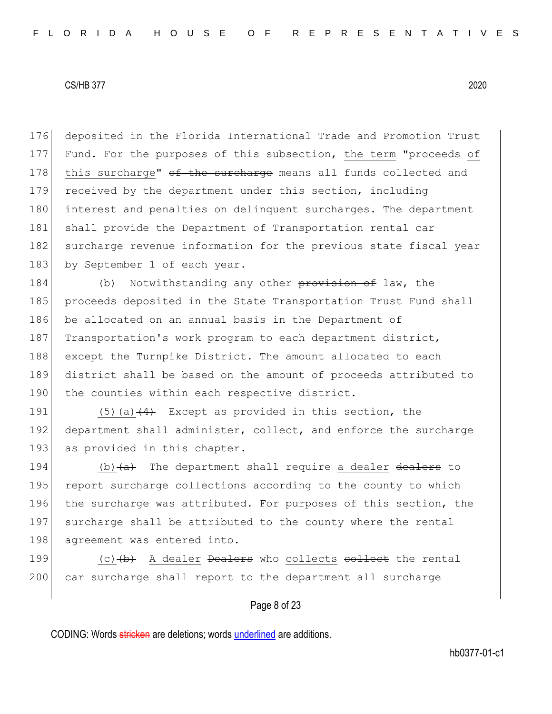176 deposited in the Florida International Trade and Promotion Trust 177 Fund. For the purposes of this subsection, the term "proceeds of 178 this surcharge"  $\theta$  the surcharge means all funds collected and 179 received by the department under this section, including 180 interest and penalties on delinquent surcharges. The department 181 shall provide the Department of Transportation rental car 182 surcharge revenue information for the previous state fiscal year 183 by September 1 of each year.

184 (b) Notwithstanding any other provision of law, the 185 proceeds deposited in the State Transportation Trust Fund shall 186 be allocated on an annual basis in the Department of 187 Transportation's work program to each department district, 188 except the Turnpike District. The amount allocated to each 189 district shall be based on the amount of proceeds attributed to 190 the counties within each respective district.

191  $(5)(a)$   $(4)$  Except as provided in this section, the 192 department shall administer, collect, and enforce the surcharge 193 as provided in this chapter.

194  $\vert$  (b)  $\langle a \rangle$  The department shall require a dealer dealers to 195 report surcharge collections according to the county to which 196 the surcharge was attributed. For purposes of this section, the 197 surcharge shall be attributed to the county where the rental 198 agreement was entered into.

199  $(c)$   $(b)$  A dealer <del>Dealers</del> who collects <del>collect</del> the rental 200 car surcharge shall report to the department all surcharge

### Page 8 of 23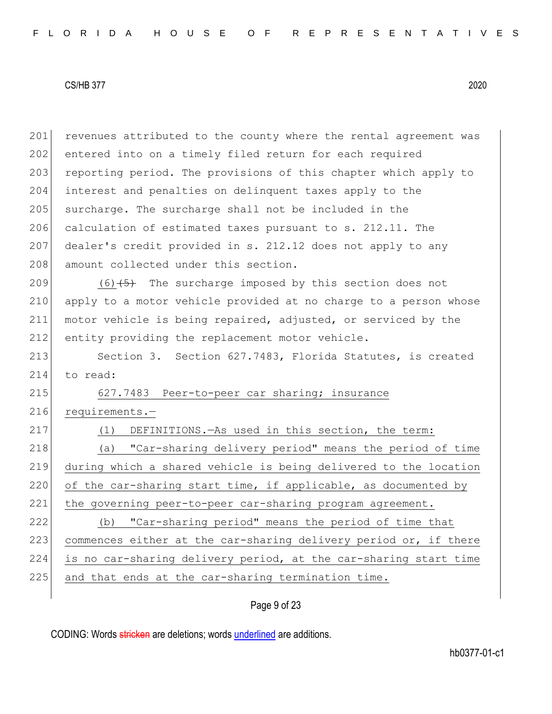201 revenues attributed to the county where the rental agreement was 202 entered into on a timely filed return for each required 203 reporting period. The provisions of this chapter which apply to 204 interest and penalties on delinquent taxes apply to the 205 surcharge. The surcharge shall not be included in the 206 calculation of estimated taxes pursuant to s. 212.11. The 207 dealer's credit provided in s. 212.12 does not apply to any 208 amount collected under this section. 209  $(6)$   $\leftarrow$  The surcharge imposed by this section does not 210 apply to a motor vehicle provided at no charge to a person whose 211 motor vehicle is being repaired, adjusted, or serviced by the 212 entity providing the replacement motor vehicle. 213 Section 3. Section 627.7483, Florida Statutes, is created 214 to read: 215 627.7483 Peer-to-peer car sharing; insurance 216 requirements.-217 (1) DEFINITIONS.—As used in this section, the term: 218 (a) "Car-sharing delivery period" means the period of time 219 during which a shared vehicle is being delivered to the location 220 of the car-sharing start time, if applicable, as documented by 221 the governing peer-to-peer car-sharing program agreement. 222 (b) "Car-sharing period" means the period of time that 223 commences either at the car-sharing delivery period or, if there 224 is no car-sharing delivery period, at the car-sharing start time 225 and that ends at the car-sharing termination time.

## Page 9 of 23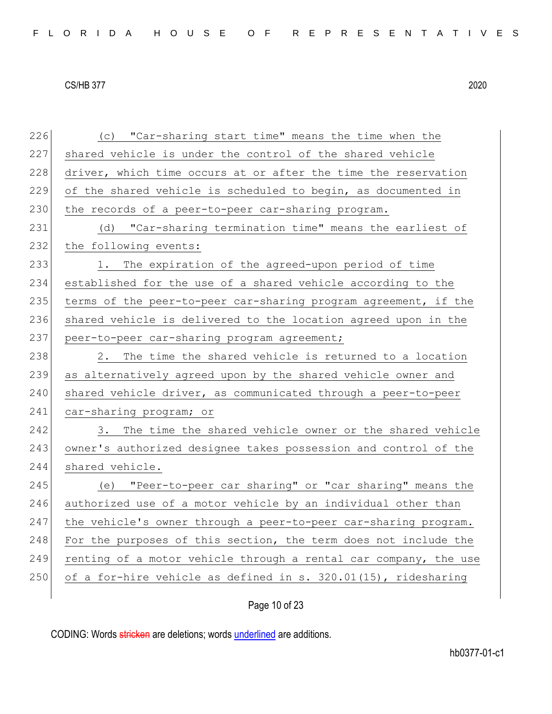| 226 | (c) "Car-sharing start time" means the time when the             |
|-----|------------------------------------------------------------------|
| 227 | shared vehicle is under the control of the shared vehicle        |
| 228 | driver, which time occurs at or after the time the reservation   |
| 229 | of the shared vehicle is scheduled to begin, as documented in    |
| 230 | the records of a peer-to-peer car-sharing program.               |
| 231 | (d) "Car-sharing termination time" means the earliest of         |
| 232 | the following events:                                            |
| 233 | The expiration of the agreed-upon period of time<br>1.           |
| 234 | established for the use of a shared vehicle according to the     |
| 235 | terms of the peer-to-peer car-sharing program agreement, if the  |
| 236 | shared vehicle is delivered to the location agreed upon in the   |
| 237 | peer-to-peer car-sharing program agreement;                      |
| 238 | The time the shared vehicle is returned to a location<br>2.      |
| 239 | as alternatively agreed upon by the shared vehicle owner and     |
| 240 | shared vehicle driver, as communicated through a peer-to-peer    |
| 241 | car-sharing program; or                                          |
| 242 | The time the shared vehicle owner or the shared vehicle<br>3.    |
| 243 | owner's authorized designee takes possession and control of the  |
| 244 | shared vehicle.                                                  |
| 245 | (e) "Peer-to-peer car sharing" or "car sharing" means the        |
| 246 | authorized use of a motor vehicle by an individual other than    |
| 247 | the vehicle's owner through a peer-to-peer car-sharing program.  |
| 248 | For the purposes of this section, the term does not include the  |
| 249 | renting of a motor vehicle through a rental car company, the use |
| 250 | of a for-hire vehicle as defined in s. 320.01(15), ridesharing   |
|     |                                                                  |

# Page 10 of 23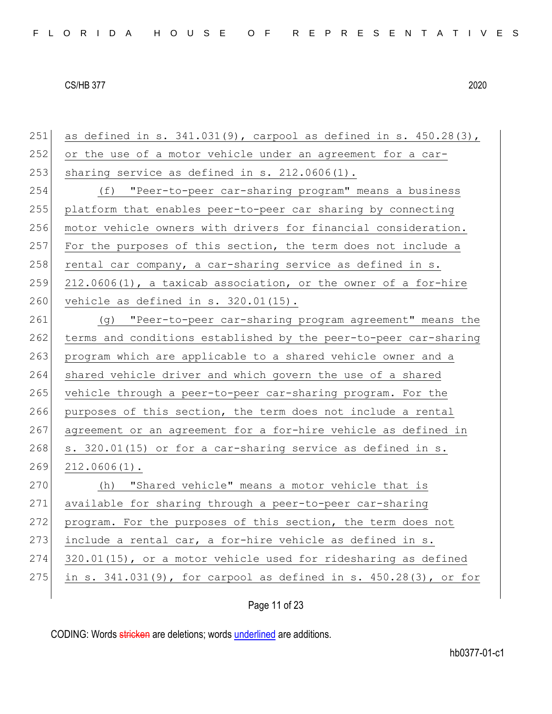| 251 | as defined in s. $341.031(9)$ , carpool as defined in s. $450.28(3)$ , |
|-----|------------------------------------------------------------------------|
| 252 | or the use of a motor vehicle under an agreement for a car-            |
| 253 | sharing service as defined in $s. 212.0606(1)$ .                       |
| 254 | (f) "Peer-to-peer car-sharing program" means a business                |
| 255 | platform that enables peer-to-peer car sharing by connecting           |
| 256 | motor vehicle owners with drivers for financial consideration.         |
| 257 | For the purposes of this section, the term does not include a          |
| 258 | rental car company, a car-sharing service as defined in s.             |
| 259 | 212.0606(1), a taxicab association, or the owner of a for-hire         |
| 260 | vehicle as defined in $s. 320.01(15)$ .                                |
| 261 | (g) "Peer-to-peer car-sharing program agreement" means the             |
| 262 | terms and conditions established by the peer-to-peer car-sharing       |
| 263 | program which are applicable to a shared vehicle owner and a           |
| 264 | shared vehicle driver and which govern the use of a shared             |
| 265 | vehicle through a peer-to-peer car-sharing program. For the            |
| 266 | purposes of this section, the term does not include a rental           |
| 267 | agreement or an agreement for a for-hire vehicle as defined in         |
| 268 | s. 320.01(15) or for a car-sharing service as defined in s.            |
| 269 | $212.0606(1)$ .                                                        |
| 270 | "Shared vehicle" means a motor vehicle that is<br>(h)                  |
| 271 | available for sharing through a peer-to-peer car-sharing               |
| 272 | program. For the purposes of this section, the term does not           |
| 273 | include a rental car, a for-hire vehicle as defined in s.              |
| 274 | 320.01(15), or a motor vehicle used for ridesharing as defined         |
| 275 | in s. 341.031(9), for carpool as defined in s. 450.28(3), or for       |
|     |                                                                        |

Page 11 of 23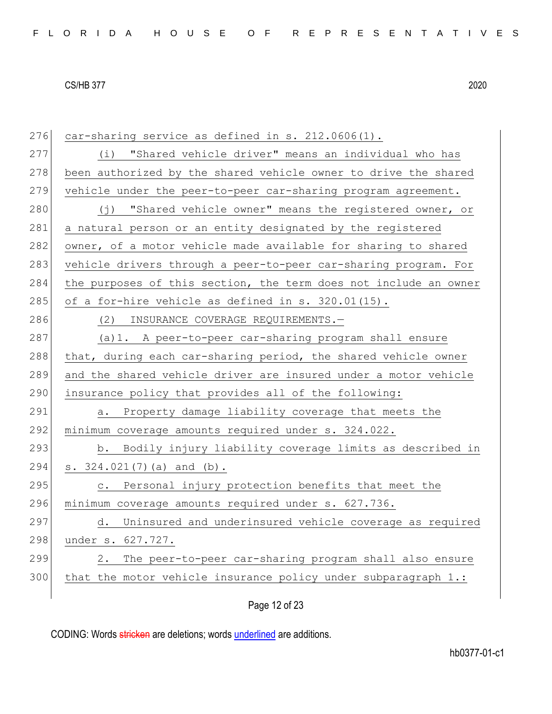276 car-sharing service as defined in  $s. 212.0606(1)$ . 277 (i) "Shared vehicle driver" means an individual who has 278 been authorized by the shared vehicle owner to drive the shared 279 vehicle under the peer-to-peer car-sharing program agreement. 280  $(j)$  "Shared vehicle owner" means the registered owner, or 281 a natural person or an entity designated by the registered 282 owner, of a motor vehicle made available for sharing to shared 283 vehicle drivers through a peer-to-peer car-sharing program. For 284 the purposes of this section, the term does not include an owner 285 of a for-hire vehicle as defined in s.  $320.01(15)$ . 286 (2) INSURANCE COVERAGE REQUIREMENTS. 287 (a)1. A peer-to-peer car-sharing program shall ensure 288 that, during each car-sharing period, the shared vehicle owner 289 and the shared vehicle driver are insured under a motor vehicle 290 insurance policy that provides all of the following: 291 a. Property damage liability coverage that meets the 292 minimum coverage amounts required under s. 324.022. 293 b. Bodily injury liability coverage limits as described in 294 s. 324.021(7)(a) and (b). 295 c. Personal injury protection benefits that meet the 296 minimum coverage amounts required under s. 627.736. 297 d. Uninsured and underinsured vehicle coverage as required 298 under s. 627.727. 299 2. The peer-to-peer car-sharing program shall also ensure  $300$  that the motor vehicle insurance policy under subparagraph 1.:

Page 12 of 23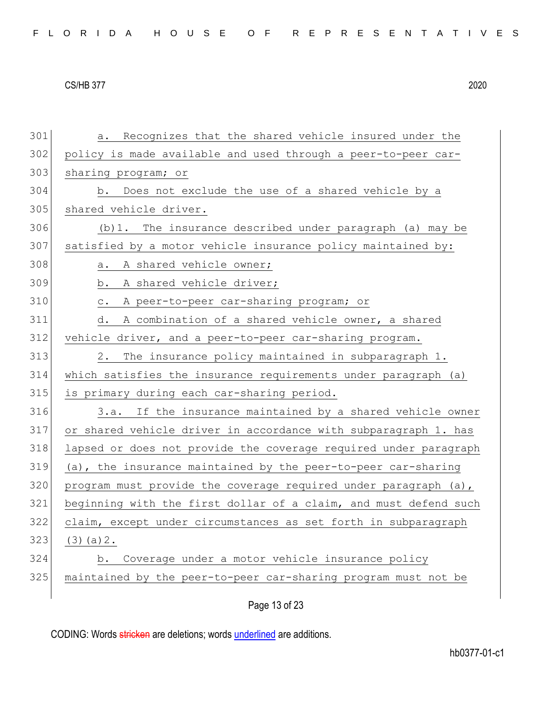| 301 | Recognizes that the shared vehicle insured under the<br>а.       |
|-----|------------------------------------------------------------------|
| 302 | policy is made available and used through a peer-to-peer car-    |
| 303 | sharing program; or                                              |
| 304 | b. Does not exclude the use of a shared vehicle by a             |
| 305 | shared vehicle driver.                                           |
| 306 | (b) 1. The insurance described under paragraph (a) may be        |
| 307 | satisfied by a motor vehicle insurance policy maintained by:     |
| 308 | A shared vehicle owner;<br>а.                                    |
| 309 | A shared vehicle driver;<br>b.                                   |
| 310 | A peer-to-peer car-sharing program; or<br>$\mathtt{C}$ .         |
| 311 | A combination of a shared vehicle owner, a shared<br>d.          |
| 312 | vehicle driver, and a peer-to-peer car-sharing program.          |
| 313 | The insurance policy maintained in subparagraph 1.<br>2.         |
| 314 | which satisfies the insurance requirements under paragraph (a)   |
| 315 | is primary during each car-sharing period.                       |
| 316 | 3.a. If the insurance maintained by a shared vehicle owner       |
| 317 | or shared vehicle driver in accordance with subparagraph 1. has  |
| 318 | lapsed or does not provide the coverage required under paragraph |
| 319 | (a), the insurance maintained by the peer-to-peer car-sharing    |
| 320 | program must provide the coverage required under paragraph (a),  |
| 321 | beginning with the first dollar of a claim, and must defend such |
| 322 | claim, except under circumstances as set forth in subparagraph   |
| 323 | $(3)$ (a) $2$ .                                                  |
| 324 | Coverage under a motor vehicle insurance policy<br>b.            |
| 325 | maintained by the peer-to-peer car-sharing program must not be   |
|     |                                                                  |

Page 13 of 23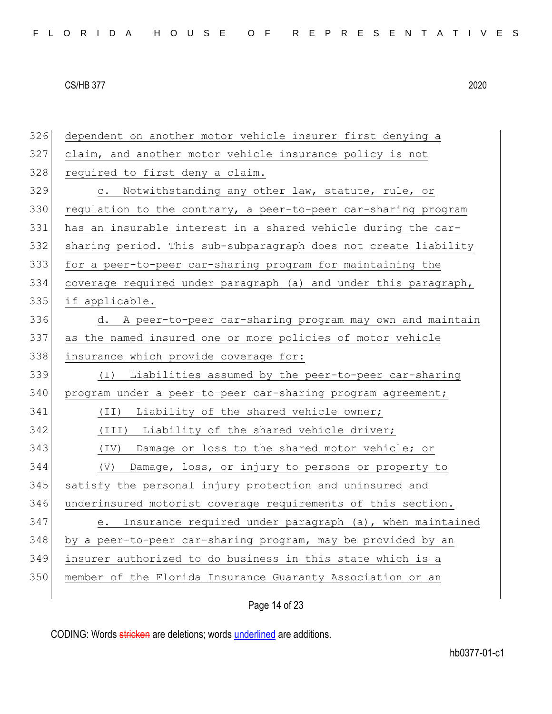| 326 | dependent on another motor vehicle insurer first denying a      |
|-----|-----------------------------------------------------------------|
| 327 | claim, and another motor vehicle insurance policy is not        |
| 328 | required to first deny a claim.                                 |
| 329 | Notwithstanding any other law, statute, rule, or<br>$\circ$ .   |
| 330 | regulation to the contrary, a peer-to-peer car-sharing program  |
| 331 | has an insurable interest in a shared vehicle during the car-   |
| 332 | sharing period. This sub-subparagraph does not create liability |
| 333 | for a peer-to-peer car-sharing program for maintaining the      |
| 334 | coverage required under paragraph (a) and under this paragraph, |
| 335 | if applicable.                                                  |
| 336 | A peer-to-peer car-sharing program may own and maintain<br>d.   |
| 337 | as the named insured one or more policies of motor vehicle      |
| 338 | insurance which provide coverage for:                           |
| 339 | Liabilities assumed by the peer-to-peer car-sharing<br>$(\top)$ |
| 340 | program under a peer-to-peer car-sharing program agreement;     |
| 341 | Liability of the shared vehicle owner;<br>(TI)                  |
| 342 | (III) Liability of the shared vehicle driver;                   |
| 343 | (IV) Damage or loss to the shared motor vehicle; or             |
| 344 | Damage, loss, or injury to persons or property to<br>(V)        |
| 345 | satisfy the personal injury protection and uninsured and        |
| 346 | underinsured motorist coverage requirements of this section.    |
| 347 | Insurance required under paragraph (a), when maintained<br>е.   |
| 348 | by a peer-to-peer car-sharing program, may be provided by an    |
| 349 | insurer authorized to do business in this state which is a      |
| 350 | member of the Florida Insurance Guaranty Association or an      |
|     |                                                                 |

## Page 14 of 23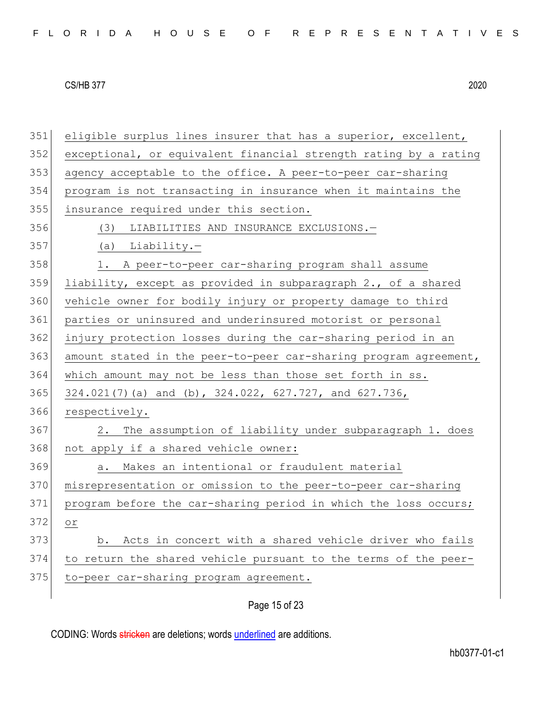351 eligible surplus lines insurer that has a superior, excellent, 352 exceptional, or equivalent financial strength rating by a rating 353 agency acceptable to the office. A peer-to-peer car-sharing 354 program is not transacting in insurance when it maintains the 355 insurance required under this section. 356 (3) LIABILITIES AND INSURANCE EXCLUSIONS.— 357 (a) Liability.— 358 1. A peer-to-peer car-sharing program shall assume 359 liability, except as provided in subparagraph 2., of a shared 360 vehicle owner for bodily injury or property damage to third 361 parties or uninsured and underinsured motorist or personal 362 injury protection losses during the car-sharing period in an 363 amount stated in the peer-to-peer car-sharing program agreement, 364 which amount may not be less than those set forth in ss. 365 324.021(7)(a) and (b), 324.022, 627.727, and 627.736, 366 respectively. 367 2. The assumption of liability under subparagraph 1. does 368 not apply if a shared vehicle owner: 369 a. Makes an intentional or fraudulent material 370 misrepresentation or omission to the peer-to-peer car-sharing 371 program before the car-sharing period in which the loss occurs; 372 or 373 b. Acts in concert with a shared vehicle driver who fails 374 to return the shared vehicle pursuant to the terms of the peer-375 to-peer car-sharing program agreement.

## Page 15 of 23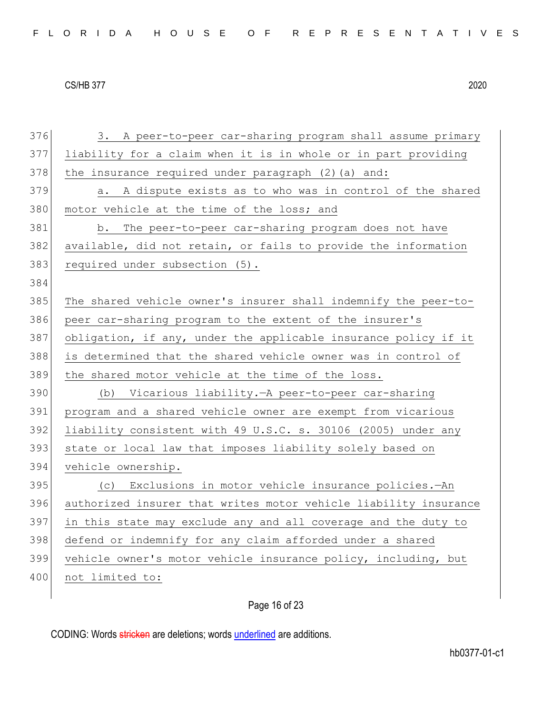| FLORIDA HOUSE OF REPRESENTATIVES |  |
|----------------------------------|--|
|----------------------------------|--|

376 3. A peer-to-peer car-sharing program shall assume primary 377 liability for a claim when it is in whole or in part providing 378 the insurance required under paragraph  $(2)$  (a) and: 379 a. A dispute exists as to who was in control of the shared 380 motor vehicle at the time of the loss; and 381 b. The peer-to-peer car-sharing program does not have 382 available, did not retain, or fails to provide the information 383 required under subsection (5). 384 385 The shared vehicle owner's insurer shall indemnify the peer-to-386 peer car-sharing program to the extent of the insurer's 387 obligation, if any, under the applicable insurance policy if it 388 is determined that the shared vehicle owner was in control of 389 the shared motor vehicle at the time of the loss. 390 (b) Vicarious liability*.*—A peer-to-peer car-sharing 391 program and a shared vehicle owner are exempt from vicarious 392 liability consistent with 49 U.S.C. s. 30106 (2005) under any 393 state or local law that imposes liability solely based on 394 vehicle ownership. 395 (c) Exclusions in motor vehicle insurance policies*.*—An 396 authorized insurer that writes motor vehicle liability insurance 397 in this state may exclude any and all coverage and the duty to 398 defend or indemnify for any claim afforded under a shared 399 vehicle owner's motor vehicle insurance policy, including, but 400 not limited to:

## Page 16 of 23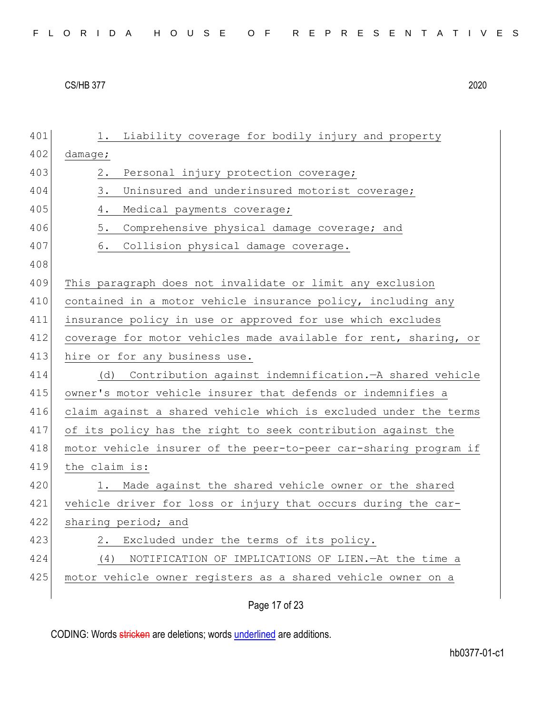|  | FLORIDA HOUSE OF REPRESENTATIVES |
|--|----------------------------------|
|--|----------------------------------|

| 401 | Liability coverage for bodily injury and property<br>1.          |
|-----|------------------------------------------------------------------|
| 402 | damage;                                                          |
| 403 | 2.<br>Personal injury protection coverage;                       |
| 404 | 3.<br>Uninsured and underinsured motorist coverage;              |
| 405 | 4.<br>Medical payments coverage;                                 |
| 406 | $5.$<br>Comprehensive physical damage coverage; and              |
| 407 | 6.<br>Collision physical damage coverage.                        |
| 408 |                                                                  |
| 409 | This paragraph does not invalidate or limit any exclusion        |
| 410 | contained in a motor vehicle insurance policy, including any     |
| 411 | insurance policy in use or approved for use which excludes       |
| 412 | coverage for motor vehicles made available for rent, sharing, or |
| 413 | hire or for any business use.                                    |
| 414 | Contribution against indemnification. - A shared vehicle<br>(d)  |
| 415 | owner's motor vehicle insurer that defends or indemnifies a      |
| 416 | claim against a shared vehicle which is excluded under the terms |
| 417 | of its policy has the right to seek contribution against the     |
| 418 | motor vehicle insurer of the peer-to-peer car-sharing program if |
| 419 | the claim is:                                                    |
| 420 | Made against the shared vehicle owner or the shared<br>1.        |
| 421 | vehicle driver for loss or injury that occurs during the car-    |
| 422 | sharing period; and                                              |
| 423 | Excluded under the terms of its policy.<br>2.                    |
| 424 | (4)<br>NOTIFICATION OF IMPLICATIONS OF LIEN. - At the time a     |
| 425 | motor vehicle owner registers as a shared vehicle owner on a     |
|     |                                                                  |

Page 17 of 23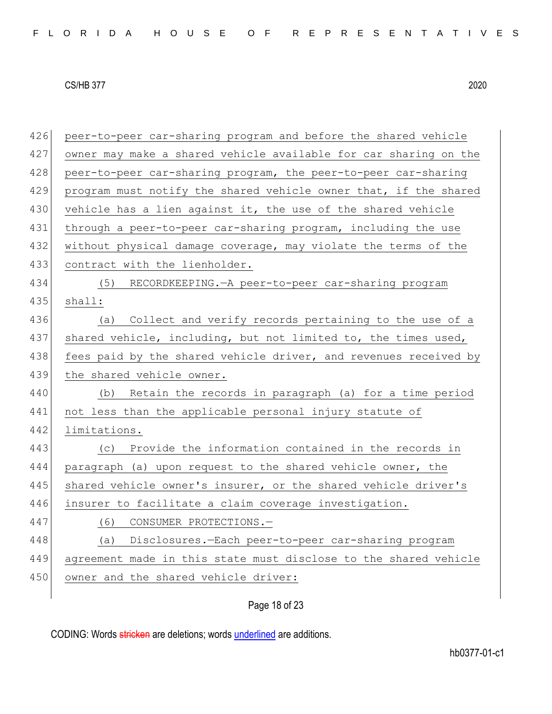426 peer-to-peer car-sharing program and before the shared vehicle 427 owner may make a shared vehicle available for car sharing on the 428 peer-to-peer car-sharing program, the peer-to-peer car-sharing 429 program must notify the shared vehicle owner that, if the shared 430 vehicle has a lien against it, the use of the shared vehicle 431 through a peer-to-peer car-sharing program, including the use 432 without physical damage coverage, may violate the terms of the 433 contract with the lienholder. 434 (5) RECORDKEEPING.—A peer-to-peer car-sharing program 435 shall: 436 (a) Collect and verify records pertaining to the use of a 437 shared vehicle, including, but not limited to, the times used, 438 fees paid by the shared vehicle driver, and revenues received by 439 the shared vehicle owner. 440 (b) Retain the records in paragraph (a) for a time period 441 not less than the applicable personal injury statute of 442 limitations. 443 (c) Provide the information contained in the records in 444 paragraph (a) upon request to the shared vehicle owner, the 445 shared vehicle owner's insurer, or the shared vehicle driver's 446 insurer to facilitate a claim coverage investigation. 447 (6) CONSUMER PROTECTIONS.— 448 (a) Disclosures*.*—Each peer-to-peer car-sharing program 449 agreement made in this state must disclose to the shared vehicle 450 owner and the shared vehicle driver:

## Page 18 of 23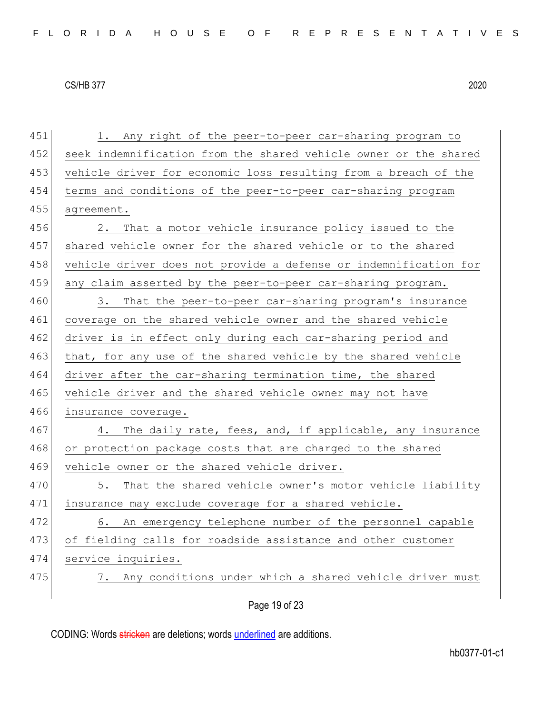451 1. Any right of the peer-to-peer car-sharing program to

#### CS/HB 377 2020

452 seek indemnification from the shared vehicle owner or the shared 453 vehicle driver for economic loss resulting from a breach of the 454 terms and conditions of the peer-to-peer car-sharing program 455 agreement. 456 2. That a motor vehicle insurance policy issued to the 457 shared vehicle owner for the shared vehicle or to the shared 458 vehicle driver does not provide a defense or indemnification for 459 any claim asserted by the peer-to-peer car-sharing program. 460 3. That the peer-to-peer car-sharing program's insurance 461 coverage on the shared vehicle owner and the shared vehicle 462 driver is in effect only during each car-sharing period and 463 that, for any use of the shared vehicle by the shared vehicle 464 driver after the car-sharing termination time, the shared 465 vehicle driver and the shared vehicle owner may not have 466 insurance coverage. 467 4. The daily rate, fees, and, if applicable, any insurance 468 or protection package costs that are charged to the shared 469 vehicle owner or the shared vehicle driver. 470 5. That the shared vehicle owner's motor vehicle liability 471 insurance may exclude coverage for a shared vehicle. 472 6. An emergency telephone number of the personnel capable 473 of fielding calls for roadside assistance and other customer 474 service inquiries. 475 7. Any conditions under which a shared vehicle driver must

Page 19 of 23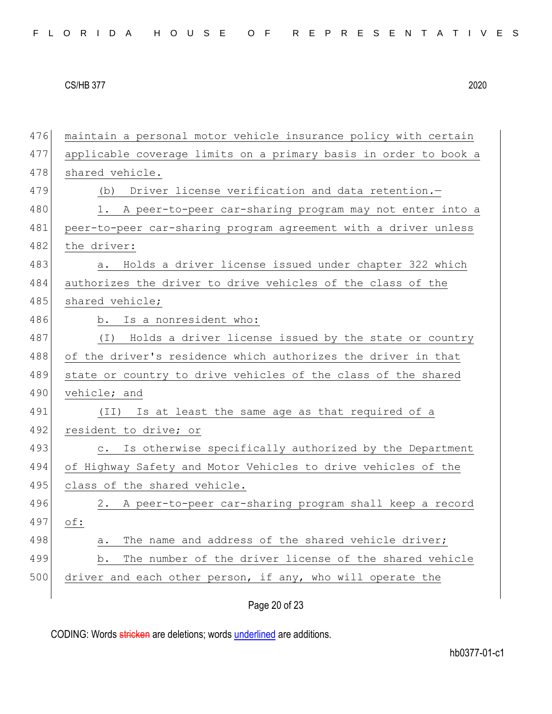| 476 | maintain a personal motor vehicle insurance policy with certain     |
|-----|---------------------------------------------------------------------|
| 477 | applicable coverage limits on a primary basis in order to book a    |
| 478 | shared vehicle.                                                     |
| 479 | (b) Driver license verification and data retention.-                |
| 480 | 1. A peer-to-peer car-sharing program may not enter into a          |
| 481 | peer-to-peer car-sharing program agreement with a driver unless     |
| 482 | the driver:                                                         |
| 483 | Holds a driver license issued under chapter 322 which<br>а.         |
| 484 | authorizes the driver to drive vehicles of the class of the         |
| 485 | shared vehicle;                                                     |
| 486 | b. Is a nonresident who:                                            |
| 487 | Holds a driver license issued by the state or country<br>( I )      |
| 488 | of the driver's residence which authorizes the driver in that       |
| 489 | state or country to drive vehicles of the class of the shared       |
| 490 | vehicle; and                                                        |
| 491 | Is at least the same age as that required of a<br>(TI)              |
| 492 | resident to drive; or                                               |
| 493 | Is otherwise specifically authorized by the Department<br>$\circ$ . |
| 494 |                                                                     |
|     | of Highway Safety and Motor Vehicles to drive vehicles of the       |
| 495 | class of the shared vehicle.                                        |
| 496 | 2. A peer-to-peer car-sharing program shall keep a record           |
| 497 | $\circ$ f:                                                          |
| 498 | The name and address of the shared vehicle driver;<br>a.            |
| 499 | The number of the driver license of the shared vehicle<br>b.        |
| 500 | driver and each other person, if any, who will operate the          |

Page 20 of 23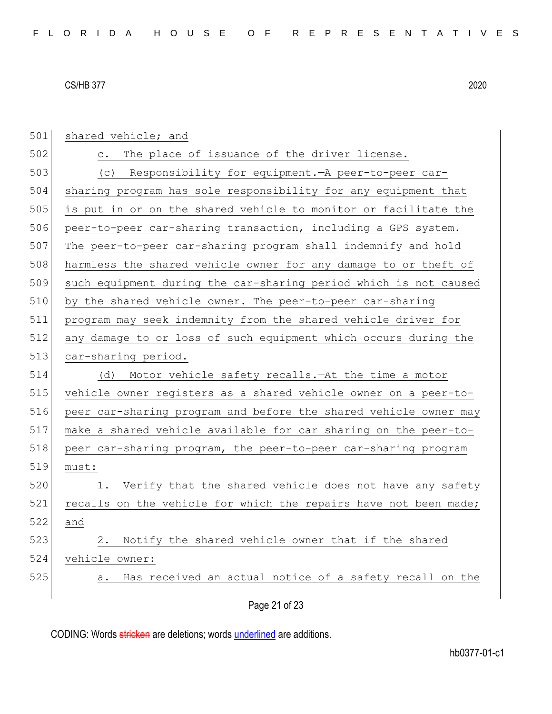| 501 | shared vehicle; and                                              |
|-----|------------------------------------------------------------------|
| 502 | The place of issuance of the driver license.<br>$\circ$ .        |
| 503 | (c) Responsibility for equipment. - A peer-to-peer car-          |
| 504 | sharing program has sole responsibility for any equipment that   |
| 505 | is put in or on the shared vehicle to monitor or facilitate the  |
| 506 | peer-to-peer car-sharing transaction, including a GPS system.    |
| 507 | The peer-to-peer car-sharing program shall indemnify and hold    |
| 508 | harmless the shared vehicle owner for any damage to or theft of  |
| 509 | such equipment during the car-sharing period which is not caused |
| 510 | by the shared vehicle owner. The peer-to-peer car-sharing        |
| 511 | program may seek indemnity from the shared vehicle driver for    |
| 512 | any damage to or loss of such equipment which occurs during the  |
| 513 | car-sharing period.                                              |
| 514 | Motor vehicle safety recalls. At the time a motor<br>(d)         |
| 515 | vehicle owner registers as a shared vehicle owner on a peer-to-  |
| 516 | peer car-sharing program and before the shared vehicle owner may |
| 517 | make a shared vehicle available for car sharing on the peer-to-  |
| 518 | peer car-sharing program, the peer-to-peer car-sharing program   |
| 519 | must:                                                            |
| 520 | 1. Verify that the shared vehicle does not have any safety       |
| 521 | recalls on the vehicle for which the repairs have not been made; |
| 522 | and                                                              |
| 523 | Notify the shared vehicle owner that if the shared<br>2.         |
| 524 | vehicle owner:                                                   |
| 525 | Has received an actual notice of a safety recall on the<br>a.    |
|     |                                                                  |
|     | Page 21 of 23                                                    |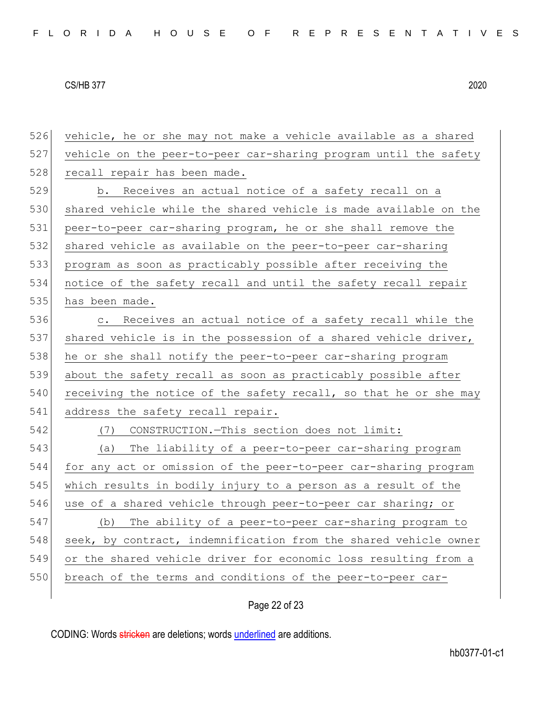526 vehicle, he or she may not make a vehicle available as a shared 527 vehicle on the peer-to-peer car-sharing program until the safety 528 recall repair has been made. 529 b. Receives an actual notice of a safety recall on a 530 shared vehicle while the shared vehicle is made available on the 531 peer-to-peer car-sharing program, he or she shall remove the 532 shared vehicle as available on the peer-to-peer car-sharing 533 program as soon as practicably possible after receiving the 534 notice of the safety recall and until the safety recall repair 535 has been made. 536 c. Receives an actual notice of a safety recall while the 537 shared vehicle is in the possession of a shared vehicle driver, 538 he or she shall notify the peer-to-peer car-sharing program 539 about the safety recall as soon as practicably possible after  $540$  receiving the notice of the safety recall, so that he or she may 541 address the safety recall repair. 542 (7) CONSTRUCTION.—This section does not limit: 543 (a) The liability of a peer-to-peer car-sharing program 544 for any act or omission of the peer-to-peer car-sharing program 545 which results in bodily injury to a person as a result of the 546 use of a shared vehicle through peer-to-peer car sharing; or 547 (b) The ability of a peer-to-peer car-sharing program to 548 seek, by contract, indemnification from the shared vehicle owner 549 or the shared vehicle driver for economic loss resulting from a 550 breach of the terms and conditions of the peer-to-peer car-

## Page 22 of 23